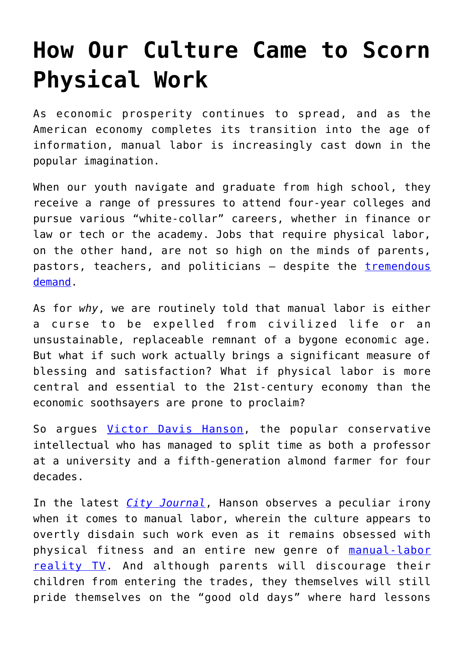## **[How Our Culture Came to Scorn](https://intellectualtakeout.org/2017/08/how-our-culture-came-to-scorn-physical-work/) [Physical Work](https://intellectualtakeout.org/2017/08/how-our-culture-came-to-scorn-physical-work/)**

As economic prosperity continues to spread, and as the American economy completes its transition into the age of information, manual labor is increasingly cast down in the popular imagination.

When our youth navigate and graduate from high school, they receive a range of pressures to attend four-year colleges and pursue various "white-collar" careers, whether in finance or law or tech or the academy. Jobs that require physical labor, on the other hand, are not so high on the minds of parents, pastors, teachers, and politicians - despite the [tremendous](http://mikerowe.com/2016/02/stopignoringskillsgap/) [demand](http://mikerowe.com/2016/02/stopignoringskillsgap/).

As for *why*, we are routinely told that manual labor is either a curse to be expelled from civilized life or an unsustainable, replaceable remnant of a bygone economic age. But what if such work actually brings a significant measure of blessing and satisfaction? What if physical labor is more central and essential to the 21st-century economy than the economic soothsayers are prone to proclaim?

So argues [Victor Davis Hanson,](https://www.city-journal.org/html/brawn-age-brains-15256.html) the popular conservative intellectual who has managed to split time as both a professor at a university and a fifth-generation almond farmer for four decades.

In the latest *[City Journal](https://www.city-journal.org/html/brawn-age-brains-15256.html)*, Hanson observes a peculiar irony when it comes to manual labor, wherein the culture appears to overtly disdain such work even as it remains obsessed with physical fitness and an entire new genre of [manual-labor](http://blog.acton.org/archives/51502-five-tv-shows-that-illuminate-the-transcendent-significance-of-work.html) [reality TV](http://blog.acton.org/archives/51502-five-tv-shows-that-illuminate-the-transcendent-significance-of-work.html). And although parents will discourage their children from entering the trades, they themselves will still pride themselves on the "good old days" where hard lessons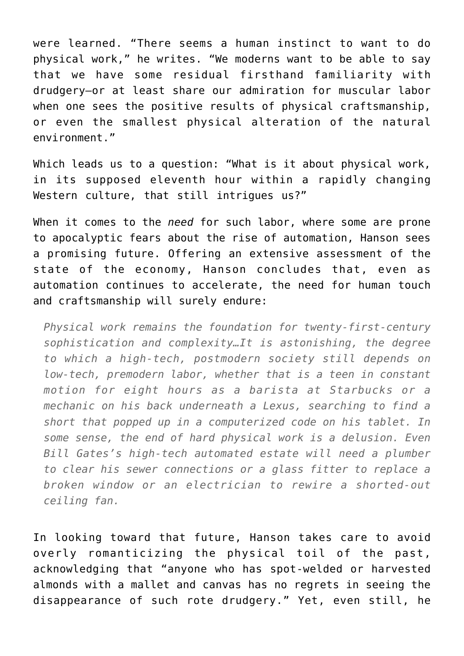were learned. "There seems a human instinct to want to do physical work," he writes. "We moderns want to be able to say that we have some residual firsthand familiarity with drudgery—or at least share our admiration for muscular labor when one sees the positive results of physical craftsmanship, or even the smallest physical alteration of the natural environment."

Which leads us to a question: "What is it about physical work, in its supposed eleventh hour within a rapidly changing Western culture, that still intrigues us?"

When it comes to the *need* for such labor, where some are prone to apocalyptic fears about the rise of automation, Hanson sees a promising future. Offering an extensive assessment of the state of the economy, Hanson concludes that, even as automation continues to accelerate, the need for human touch and craftsmanship will surely endure:

*Physical work remains the foundation for twenty-first-century sophistication and complexity…It is astonishing, the degree to which a high-tech, postmodern society still depends on low-tech, premodern labor, whether that is a teen in constant motion for eight hours as a barista at Starbucks or a mechanic on his back underneath a Lexus, searching to find a short that popped up in a computerized code on his tablet. In some sense, the end of hard physical work is a delusion. Even Bill Gates's high-tech automated estate will need a plumber to clear his sewer connections or a glass fitter to replace a broken window or an electrician to rewire a shorted-out ceiling fan.*

In looking toward that future, Hanson takes care to avoid overly romanticizing the physical toil of the past, acknowledging that "anyone who has spot-welded or harvested almonds with a mallet and canvas has no regrets in seeing the disappearance of such rote drudgery." Yet, even still, he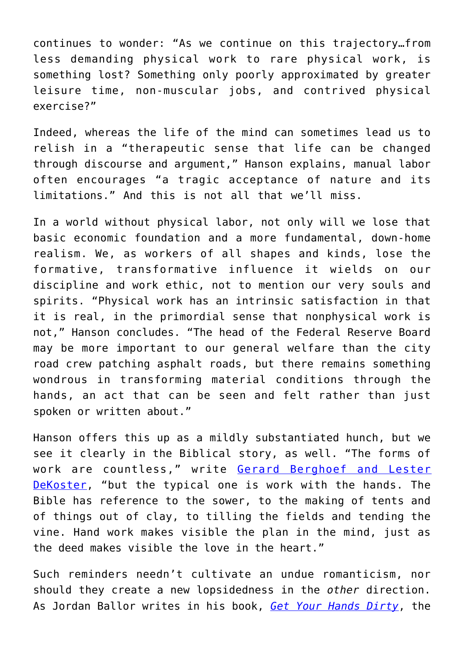continues to wonder: "As we continue on this trajectory…from less demanding physical work to rare physical work, is something lost? Something only poorly approximated by greater leisure time, non-muscular jobs, and contrived physical exercise?"

Indeed, whereas the life of the mind can sometimes lead us to relish in a "therapeutic sense that life can be changed through discourse and argument," Hanson explains, manual labor often encourages "a tragic acceptance of nature and its limitations." And this is not all that we'll miss.

In a world without physical labor, not only will we lose that basic economic foundation and a more fundamental, down-home realism. We, as workers of all shapes and kinds, lose the formative, transformative influence it wields on our discipline and work ethic, not to mention our very souls and spirits. "Physical work has an intrinsic satisfaction in that it is real, in the primordial sense that nonphysical work is not," Hanson concludes. "The head of the Federal Reserve Board may be more important to our general welfare than the city road crew patching asphalt roads, but there remains something wondrous in transforming material conditions through the hands, an act that can be seen and felt rather than just spoken or written about."

Hanson offers this up as a mildly substantiated hunch, but we see it clearly in the Biblical story, as well. "The forms of work are countless," write [Gerard Berghoef and Lester](https://www.clpress.com/publications/faithful-all-gods-house) [DeKoster,](https://www.clpress.com/publications/faithful-all-gods-house) "but the typical one is work with the hands. The Bible has reference to the sower, to the making of tents and of things out of clay, to tilling the fields and tending the vine. Hand work makes visible the plan in the mind, just as the deed makes visible the love in the heart."

Such reminders needn't cultivate an undue romanticism, nor should they create a new lopsidedness in the *other* direction. As Jordan Ballor writes in his book, *[Get Your Hands Dirty](http://a-fwd.com/asin-com=1625640471&sc=w)*, the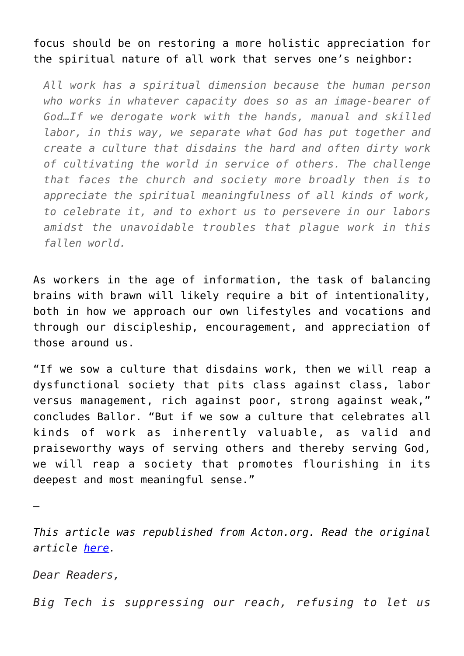focus should be on restoring a more holistic appreciation for the spiritual nature of all work that serves one's neighbor:

*All work has a spiritual dimension because the human person who works in whatever capacity does so as an image-bearer of God…If we derogate work with the hands, manual and skilled labor, in this way, we separate what God has put together and create a culture that disdains the hard and often dirty work of cultivating the world in service of others. The challenge that faces the church and society more broadly then is to appreciate the spiritual meaningfulness of all kinds of work, to celebrate it, and to exhort us to persevere in our labors amidst the unavoidable troubles that plague work in this fallen world.*

As workers in the age of information, the task of balancing brains with brawn will likely require a bit of intentionality, both in how we approach our own lifestyles and vocations and through our discipleship, encouragement, and appreciation of those around us.

"If we sow a culture that disdains work, then we will reap a dysfunctional society that pits class against class, labor versus management, rich against poor, strong against weak," concludes Ballor. "But if we sow a culture that celebrates all kinds of work as inherently valuable, as valid and praiseworthy ways of serving others and thereby serving God, we will reap a society that promotes flourishing in its deepest and most meaningful sense."

*This article was republished from Acton.org. Read the original article [here](http://blog.acton.org/archives/97348-brains-and-brawn-does-manual-labor-belong-in-the-modern-economy.html).*

*Dear Readers,*

—

*Big Tech is suppressing our reach, refusing to let us*